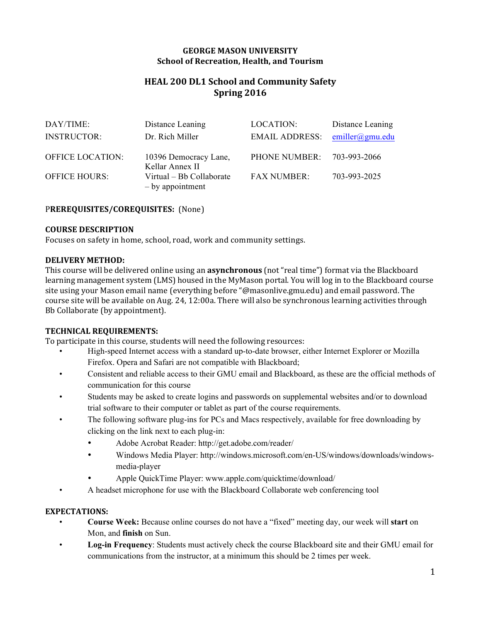### **GEORGE MASON UNIVERSITY School of Recreation, Health, and Tourism**

# **HEAL 200 DL1 School and Community Safety Spring 2016**

| DAY/TIME:               | Distance Leaning                             | LOCATION:          | Distance Leaning          |
|-------------------------|----------------------------------------------|--------------------|---------------------------|
| <b>INSTRUCTOR:</b>      | Dr. Rich Miller                              | EMAIL ADDRESS:     | $emiller(\omega gmu.edu)$ |
| <b>OFFICE LOCATION:</b> | 10396 Democracy Lane,<br>Kellar Annex II     | PHONE NUMBER:      | 703-993-2066              |
| <b>OFFICE HOURS:</b>    | Virtual – Bb Collaborate<br>- by appointment | <b>FAX NUMBER:</b> | 703-993-2025              |

### PREREQUISITES/COREQUISITES: (None)

#### **COURSE DESCRIPTION**

Focuses on safety in home, school, road, work and community settings.

#### **DELIVERY METHOD:**

This course will be delivered online using an **asynchronous** (not "real time") format via the Blackboard learning management system (LMS) housed in the MyMason portal. You will log in to the Blackboard course site using your Mason email name (everything before "@masonlive.gmu.edu) and email password. The course site will be available on Aug. 24, 12:00a. There will also be synchronous learning activities through Bb Collaborate (by appointment).

#### **TECHNICAL REQUIREMENTS:**

To participate in this course, students will need the following resources:

- High-speed Internet access with a standard up-to-date browser, either Internet Explorer or Mozilla Firefox. Opera and Safari are not compatible with Blackboard;
- Consistent and reliable access to their GMU email and Blackboard, as these are the official methods of communication for this course
- Students may be asked to create logins and passwords on supplemental websites and/or to download trial software to their computer or tablet as part of the course requirements.
- The following software plug-ins for PCs and Macs respectively, available for free downloading by clicking on the link next to each plug-in:
	- Adobe Acrobat Reader: http://get.adobe.com/reader/
	- Windows Media Player: http://windows.microsoft.com/en-US/windows/downloads/windowsmedia-player
		- Apple QuickTime Player: www.apple.com/quicktime/download/
- A headset microphone for use with the Blackboard Collaborate web conferencing tool

### **EXPECTATIONS:**

- **Course Week:** Because online courses do not have a "fixed" meeting day, our week will **start** on Mon, and **finish** on Sun.
- **Log-in Frequency**: Students must actively check the course Blackboard site and their GMU email for communications from the instructor, at a minimum this should be 2 times per week.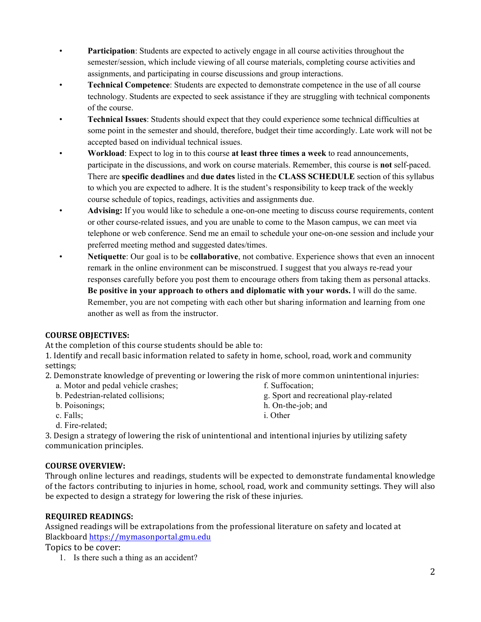- **Participation**: Students are expected to actively engage in all course activities throughout the semester/session, which include viewing of all course materials, completing course activities and assignments, and participating in course discussions and group interactions.
- **Technical Competence**: Students are expected to demonstrate competence in the use of all course technology. Students are expected to seek assistance if they are struggling with technical components of the course.
- **Technical Issues**: Students should expect that they could experience some technical difficulties at some point in the semester and should, therefore, budget their time accordingly. Late work will not be accepted based on individual technical issues.
- **Workload**: Expect to log in to this course **at least three times a week** to read announcements, participate in the discussions, and work on course materials. Remember, this course is **not** self-paced. There are **specific deadlines** and **due dates** listed in the **CLASS SCHEDULE** section of this syllabus to which you are expected to adhere. It is the student's responsibility to keep track of the weekly course schedule of topics, readings, activities and assignments due.
- **Advising:** If you would like to schedule a one-on-one meeting to discuss course requirements, content or other course-related issues, and you are unable to come to the Mason campus, we can meet via telephone or web conference. Send me an email to schedule your one-on-one session and include your preferred meeting method and suggested dates/times.
- **Netiquette**: Our goal is to be **collaborative**, not combative. Experience shows that even an innocent remark in the online environment can be misconstrued. I suggest that you always re-read your responses carefully before you post them to encourage others from taking them as personal attacks. **Be positive in your approach to others and diplomatic with your words.** I will do the same. Remember, you are not competing with each other but sharing information and learning from one another as well as from the instructor.

## **COURSE OBJECTIVES:**

At the completion of this course students should be able to:

1. Identify and recall basic information related to safety in home, school, road, work and community settings;

- 2. Demonstrate knowledge of preventing or lowering the risk of more common unintentional injuries:
	- a. Motor and pedal vehicle crashes;
	- b. Pedestrian-related collisions;
	- b. Poisonings;
	- c. Falls;
	- d. Fire-related;

3. Design a strategy of lowering the risk of unintentional and intentional injuries by utilizing safety communication principles.

## **COURSE OVERVIEW:**

Through online lectures and readings, students will be expected to demonstrate fundamental knowledge of the factors contributing to injuries in home, school, road, work and community settings. They will also be expected to design a strategy for lowering the risk of these injuries.

## **REQUIRED READINGS:**

Assigned readings will be extrapolations from the professional literature on safety and located at Blackboard https://mymasonportal.gmu.edu

Topics to be cover:

1. Is there such a thing as an accident?

2

- f. Suffocation;
- g. Sport and recreational play-related
- h. On-the-job; and
- i. Other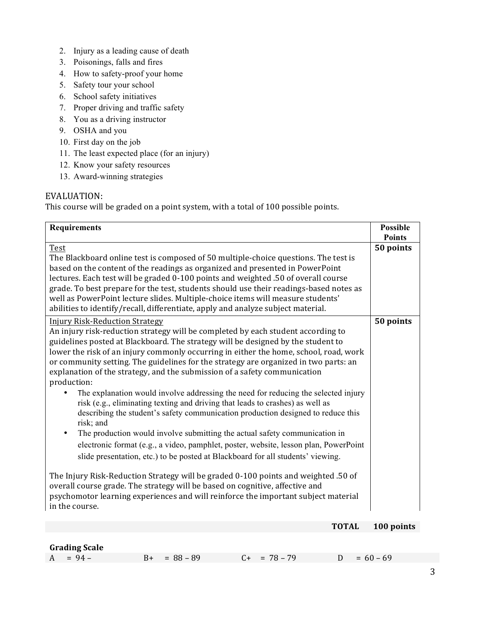- 2. Injury as a leading cause of death
- 3. Poisonings, falls and fires
- 4. How to safety-proof your home
- 5. Safety tour your school
- 6. School safety initiatives
- 7. Proper driving and traffic safety
- 8. You as a driving instructor
- 9. OSHA and you
- 10. First day on the job
- 11. The least expected place (for an injury)
- 12. Know your safety resources
- 13. Award-winning strategies

## EVALUATION:

This course will be graded on a point system, with a total of 100 possible points.

| <b>Requirements</b>                                                                                                                                                                                                                                                                                                                                                                                                                                                                                                                                                                                                                                                                                                                                                                                                                                                                                                                                                                                                                      | <b>Possible</b><br><b>Points</b> |
|------------------------------------------------------------------------------------------------------------------------------------------------------------------------------------------------------------------------------------------------------------------------------------------------------------------------------------------------------------------------------------------------------------------------------------------------------------------------------------------------------------------------------------------------------------------------------------------------------------------------------------------------------------------------------------------------------------------------------------------------------------------------------------------------------------------------------------------------------------------------------------------------------------------------------------------------------------------------------------------------------------------------------------------|----------------------------------|
| Test<br>The Blackboard online test is composed of 50 multiple-choice questions. The test is<br>based on the content of the readings as organized and presented in PowerPoint                                                                                                                                                                                                                                                                                                                                                                                                                                                                                                                                                                                                                                                                                                                                                                                                                                                             | 50 points                        |
| lectures. Each test will be graded 0-100 points and weighted .50 of overall course<br>grade. To best prepare for the test, students should use their readings-based notes as<br>well as PowerPoint lecture slides. Multiple-choice items will measure students'<br>abilities to identify/recall, differentiate, apply and analyze subject material.                                                                                                                                                                                                                                                                                                                                                                                                                                                                                                                                                                                                                                                                                      |                                  |
| <b>Injury Risk-Reduction Strategy</b><br>An injury risk-reduction strategy will be completed by each student according to<br>guidelines posted at Blackboard. The strategy will be designed by the student to<br>lower the risk of an injury commonly occurring in either the home, school, road, work<br>or community setting. The guidelines for the strategy are organized in two parts: an<br>explanation of the strategy, and the submission of a safety communication<br>production:<br>The explanation would involve addressing the need for reducing the selected injury<br>risk (e.g., eliminating texting and driving that leads to crashes) as well as<br>describing the student's safety communication production designed to reduce this<br>risk; and<br>The production would involve submitting the actual safety communication in<br>$\bullet$<br>electronic format (e.g., a video, pamphlet, poster, website, lesson plan, PowerPoint<br>slide presentation, etc.) to be posted at Blackboard for all students' viewing. | 50 points                        |
| The Injury Risk-Reduction Strategy will be graded 0-100 points and weighted .50 of<br>overall course grade. The strategy will be based on cognitive, affective and<br>psychomotor learning experiences and will reinforce the important subject material<br>in the course.                                                                                                                                                                                                                                                                                                                                                                                                                                                                                                                                                                                                                                                                                                                                                               |                                  |

### **TOTAL 100 points**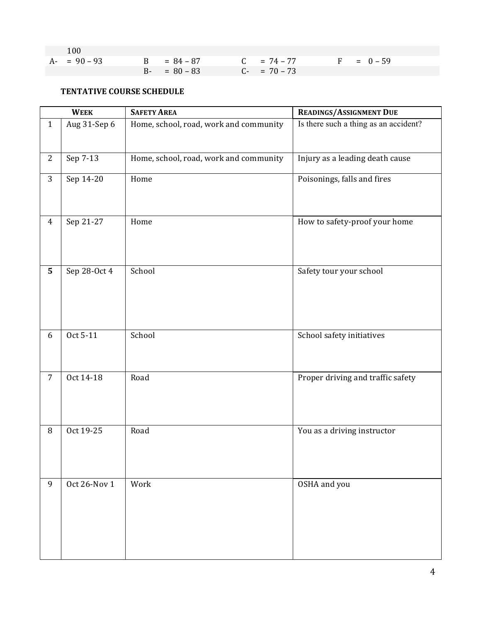| 100           |                 |               |  |              |
|---------------|-----------------|---------------|--|--------------|
| $A - 90 - 93$ | $B = 84 - 87$   | $C = 74 - 77$ |  | $F = 0 - 59$ |
|               | $B - = 80 - 83$ | $C- = 70-73$  |  |              |

## **TENTATIVE COURSE SCHEDULE**

|                | <b>WEEK</b>  | <b>SAFETY AREA</b>                     | READINGS/ASSIGNMENT DUE               |
|----------------|--------------|----------------------------------------|---------------------------------------|
| $\mathbf{1}$   | Aug 31-Sep 6 | Home, school, road, work and community | Is there such a thing as an accident? |
| $\mathbf{2}$   | Sep 7-13     | Home, school, road, work and community | Injury as a leading death cause       |
| 3              | Sep 14-20    | Home                                   | Poisonings, falls and fires           |
| $\overline{4}$ | Sep 21-27    | Home                                   | How to safety-proof your home         |
| 5 <sup>5</sup> | Sep 28-Oct 4 | School                                 | Safety tour your school               |
| 6              | Oct 5-11     | School                                 | School safety initiatives             |
| $\overline{7}$ | Oct 14-18    | Road                                   | Proper driving and traffic safety     |
| 8              | Oct 19-25    | Road                                   | You as a driving instructor           |
| 9              | Oct 26-Nov 1 | Work                                   | OSHA and you                          |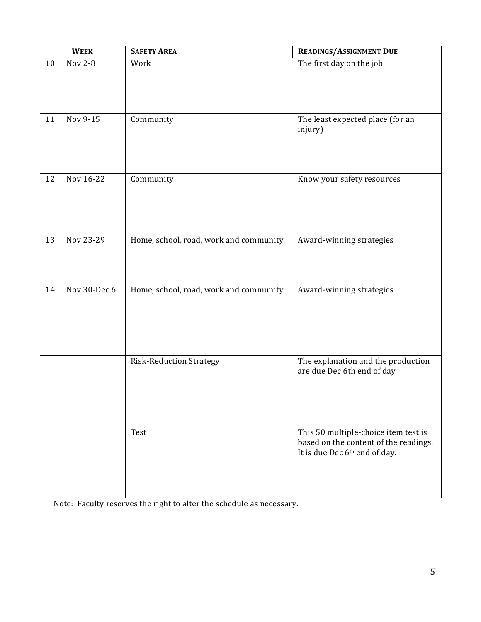| <b>WEEK</b> |                | <b>SAFETY AREA</b>                     | <b>READINGS/ASSIGNMENT DUE</b>                                                                                 |
|-------------|----------------|----------------------------------------|----------------------------------------------------------------------------------------------------------------|
| 10          | <b>Nov 2-8</b> | Work                                   | The first day on the job                                                                                       |
| 11          | Nov 9-15       | Community                              | The least expected place (for an<br>injury)                                                                    |
| 12          | Nov 16-22      | Community                              | Know your safety resources                                                                                     |
| 13          | Nov 23-29      | Home, school, road, work and community | Award-winning strategies                                                                                       |
| 14          | Nov 30-Dec 6   | Home, school, road, work and community | Award-winning strategies                                                                                       |
|             |                | <b>Risk-Reduction Strategy</b>         | The explanation and the production<br>are due Dec 6th end of day                                               |
|             |                | Test                                   | This 50 multiple-choice item test is<br>based on the content of the readings.<br>It is due Dec 6th end of day. |

Note: Faculty reserves the right to alter the schedule as necessary.